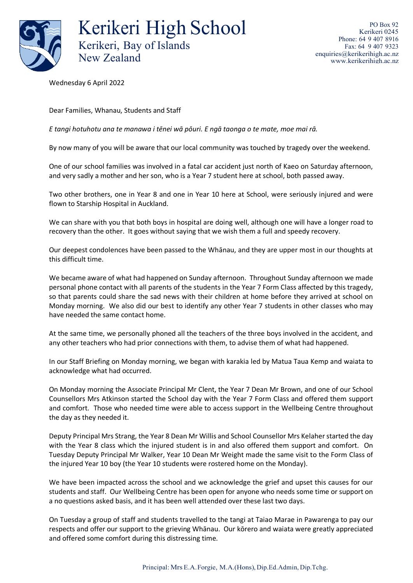

Kerikeri High School Kerikeri, Bay of Islands New Zealand

Wednesday 6 April 2022

Dear Families, Whanau, Students and Staff

*E tangi hotuhotu ana te manawa i tēnei wā pōuri. E ngā taonga o te mate, moe mai rā.*

By now many of you will be aware that our local community was touched by tragedy over the weekend.

One of our school families was involved in a fatal car accident just north of Kaeo on Saturday afternoon, and very sadly a mother and her son, who is a Year 7 student here at school, both passed away.

Two other brothers, one in Year 8 and one in Year 10 here at School, were seriously injured and were flown to Starship Hospital in Auckland.

We can share with you that both boys in hospital are doing well, although one will have a longer road to recovery than the other. It goes without saying that we wish them a full and speedy recovery.

Our deepest condolences have been passed to the Whānau, and they are upper most in our thoughts at this difficult time.

We became aware of what had happened on Sunday afternoon. Throughout Sunday afternoon we made personal phone contact with all parents of the students in the Year 7 Form Class affected by this tragedy, so that parents could share the sad news with their children at home before they arrived at school on Monday morning. We also did our best to identify any other Year 7 students in other classes who may have needed the same contact home.

At the same time, we personally phoned all the teachers of the three boys involved in the accident, and any other teachers who had prior connections with them, to advise them of what had happened.

In our Staff Briefing on Monday morning, we began with karakia led by Matua Taua Kemp and waiata to acknowledge what had occurred.

On Monday morning the Associate Principal Mr Clent, the Year 7 Dean Mr Brown, and one of our School Counsellors Mrs Atkinson started the School day with the Year 7 Form Class and offered them support and comfort. Those who needed time were able to access support in the Wellbeing Centre throughout the day as they needed it.

Deputy Principal Mrs Strang, the Year 8 Dean Mr Willis and School Counsellor Mrs Kelaher started the day with the Year 8 class which the injured student is in and also offered them support and comfort. On Tuesday Deputy Principal Mr Walker, Year 10 Dean Mr Weight made the same visit to the Form Class of the injured Year 10 boy (the Year 10 students were rostered home on the Monday).

We have been impacted across the school and we acknowledge the grief and upset this causes for our students and staff. Our Wellbeing Centre has been open for anyone who needs some time or support on a no questions asked basis, and it has been well attended over these last two days.

On Tuesday a group of staff and students travelled to the tangi at Taiao Marae in Pawarenga to pay our respects and offer our support to the grieving Whānau. Our kōrero and waiata were greatly appreciated and offered some comfort during this distressing time.